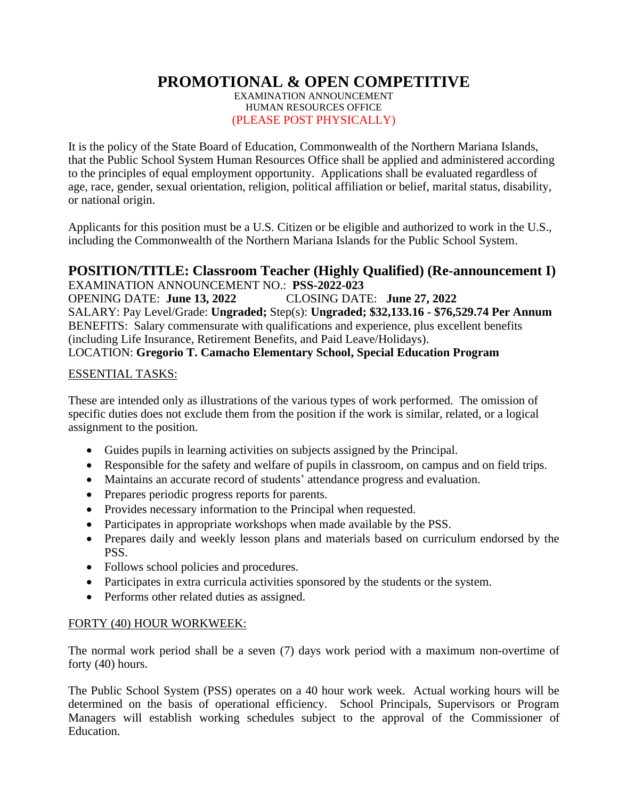# **PROMOTIONAL & OPEN COMPETITIVE**

EXAMINATION ANNOUNCEMENT HUMAN RESOURCES OFFICE (PLEASE POST PHYSICALLY)

It is the policy of the State Board of Education, Commonwealth of the Northern Mariana Islands, that the Public School System Human Resources Office shall be applied and administered according to the principles of equal employment opportunity. Applications shall be evaluated regardless of age, race, gender, sexual orientation, religion, political affiliation or belief, marital status, disability, or national origin.

Applicants for this position must be a U.S. Citizen or be eligible and authorized to work in the U.S., including the Commonwealth of the Northern Mariana Islands for the Public School System.

#### **POSITION/TITLE: Classroom Teacher (Highly Qualified) (Re-announcement I)** EXAMINATION ANNOUNCEMENT NO.: **PSS-2022-023**

OPENING DATE: **June 13, 2022** CLOSING DATE: **June 27, 2022** SALARY: Pay Level/Grade: **Ungraded;** Step(s): **Ungraded; \$32,133.16 - \$76,529.74 Per Annum** BENEFITS: Salary commensurate with qualifications and experience, plus excellent benefits (including Life Insurance, Retirement Benefits, and Paid Leave/Holidays). LOCATION: **Gregorio T. Camacho Elementary School, Special Education Program**

#### ESSENTIAL TASKS:

These are intended only as illustrations of the various types of work performed. The omission of specific duties does not exclude them from the position if the work is similar, related, or a logical assignment to the position.

- Guides pupils in learning activities on subjects assigned by the Principal.
- Responsible for the safety and welfare of pupils in classroom, on campus and on field trips.
- Maintains an accurate record of students' attendance progress and evaluation.
- Prepares periodic progress reports for parents.
- Provides necessary information to the Principal when requested.
- Participates in appropriate workshops when made available by the PSS.
- Prepares daily and weekly lesson plans and materials based on curriculum endorsed by the PSS.
- Follows school policies and procedures.
- Participates in extra curricula activities sponsored by the students or the system.
- Performs other related duties as assigned.

# FORTY (40) HOUR WORKWEEK:

The normal work period shall be a seven (7) days work period with a maximum non-overtime of forty (40) hours.

The Public School System (PSS) operates on a 40 hour work week. Actual working hours will be determined on the basis of operational efficiency. School Principals, Supervisors or Program Managers will establish working schedules subject to the approval of the Commissioner of Education.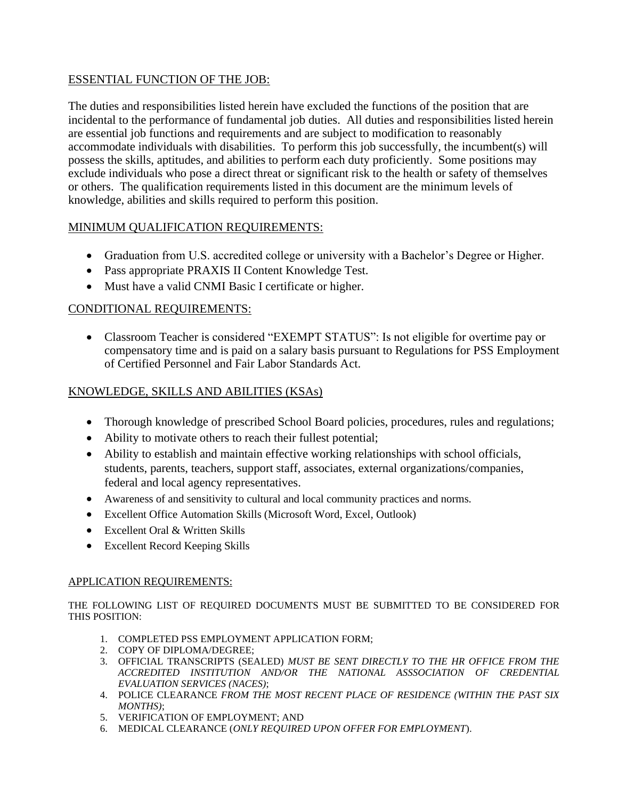# ESSENTIAL FUNCTION OF THE JOB:

The duties and responsibilities listed herein have excluded the functions of the position that are incidental to the performance of fundamental job duties. All duties and responsibilities listed herein are essential job functions and requirements and are subject to modification to reasonably accommodate individuals with disabilities. To perform this job successfully, the incumbent(s) will possess the skills, aptitudes, and abilities to perform each duty proficiently. Some positions may exclude individuals who pose a direct threat or significant risk to the health or safety of themselves or others. The qualification requirements listed in this document are the minimum levels of knowledge, abilities and skills required to perform this position.

# MINIMUM QUALIFICATION REQUIREMENTS:

- Graduation from U.S. accredited college or university with a Bachelor's Degree or Higher.
- Pass appropriate PRAXIS II Content Knowledge Test.
- Must have a valid CNMI Basic I certificate or higher.

# CONDITIONAL REQUIREMENTS:

• Classroom Teacher is considered "EXEMPT STATUS": Is not eligible for overtime pay or compensatory time and is paid on a salary basis pursuant to Regulations for PSS Employment of Certified Personnel and Fair Labor Standards Act.

#### KNOWLEDGE, SKILLS AND ABILITIES (KSAs)

- Thorough knowledge of prescribed School Board policies, procedures, rules and regulations;
- Ability to motivate others to reach their fullest potential;
- Ability to establish and maintain effective working relationships with school officials, students, parents, teachers, support staff, associates, external organizations/companies, federal and local agency representatives.
- Awareness of and sensitivity to cultural and local community practices and norms.
- Excellent Office Automation Skills (Microsoft Word, Excel, Outlook)
- Excellent Oral & Written Skills
- Excellent Record Keeping Skills

#### APPLICATION REQUIREMENTS:

THE FOLLOWING LIST OF REQUIRED DOCUMENTS MUST BE SUBMITTED TO BE CONSIDERED FOR THIS POSITION:

- 1. COMPLETED PSS EMPLOYMENT APPLICATION FORM;
- 2. COPY OF DIPLOMA/DEGREE;
- 3. OFFICIAL TRANSCRIPTS (SEALED) *MUST BE SENT DIRECTLY TO THE HR OFFICE FROM THE ACCREDITED INSTITUTION AND/OR THE NATIONAL ASSSOCIATION OF CREDENTIAL EVALUATION SERVICES (NACES)*;
- 4. POLICE CLEARANCE *FROM THE MOST RECENT PLACE OF RESIDENCE (WITHIN THE PAST SIX MONTHS)*;
- 5. VERIFICATION OF EMPLOYMENT; AND
- 6. MEDICAL CLEARANCE (*ONLY REQUIRED UPON OFFER FOR EMPLOYMENT*).